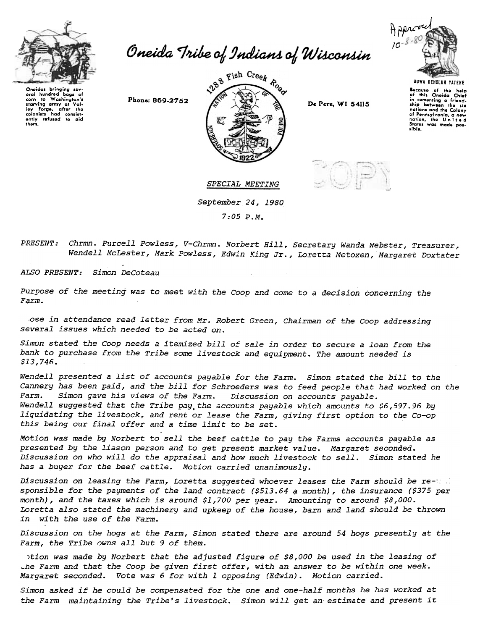

Oneida Tribe of Indians of Wisconsin

Onoidas bringing sov-<br>oral hundrod bags cf<br>corn to Washington's<br>starving army at Val.<br>colonists had consist-<br>colonists had consist-<br>ently refusod to aid<br>thom.





UGWA DEHOlUH rATEHE

because of the help<br>of this Oneida Chief in comenting a friendship botween the six<br>nations and the Colony of Pennsylvania, a new<br>nation, the Unite a<br>States was made poslible.

SPECIAL MEETING

September 24,1980

7:05 P.M.

Chrmn. Purcell Powless, V-Chrmn. Norbert Hill, Secretary Wanda Webster, Treasurer, PRESENT: Wendell McLester, Mark Powless, Edwin King Jr., Loretta Metoxen, Margaret Doxtater

ALSO PRESENT: Simon DeCoteau

Purpose of the meeting was to meet with the Coop and come to a decision concerning the Farm.

,ose in attendance read letter from Mr. Robert Green, Chairman of the Coop addressing several issues which needed to be acted on.

Simon stated the Coop needs a itemized bill of sale in order to secure a loan from the bank to purchase from the Tribe some livestock and equipment. The amount needed is \$13,746.

Wendell presented a list of accounts payable for the Farm. Simon stated the bill to the Cannery has been paid, and the bill for Schroeders was to feed people that had worked on the Farm. Simon gave his views of the Farm. Discussion on accounts payable. Wendell suggested that the Tribe pay the accounts payable which amounts to \$6,597.96 by liquidating the livestock. and rent or lease the Farm, giving first option to the Co-op this being our final offer and a time limit to be set.

Motion was made by Norbert to sell the beef cattle to pay the Farms accounts payable as presented by the liason person and to get present market value. Margaret seconded. Discussion on who will do the appraisal and how much livestock to sell. Simon stated he has a puyer for the beef cattle. Motion carried unanimously.

Discussion on leasing the Farm, Loretta suggested whoever leases the Farm should be re- $::$ sponsible for the payments of the land contract (\$513.64  $a$  month), the insurance (\$375 per month), and the taxes which is around \$1,700 per year. Amounting to around \$8,000. Loretta also stated the machinery and upkeep of the house, barn and land should be thrown in with the use of the Farm.

Discussion on the hogs at the Farm, Simon stated there are around 54 hogs presently at the Farm, the Tribe owns all but 9 of them.

1tion was made by Norbert that the adjusted figure of \$8,000 be used in the leasing of ~he Farm and that the Coop be given first offer. with an answer to be within one week. Margaret seconded. Vote was 6 for with I opposing (Edwin). Motion carried.

Simon asked if he could be compensated for the one and one-half months he has worked at the Farm maintaining the Tribe's livestock. Simon will get an estimate and present it